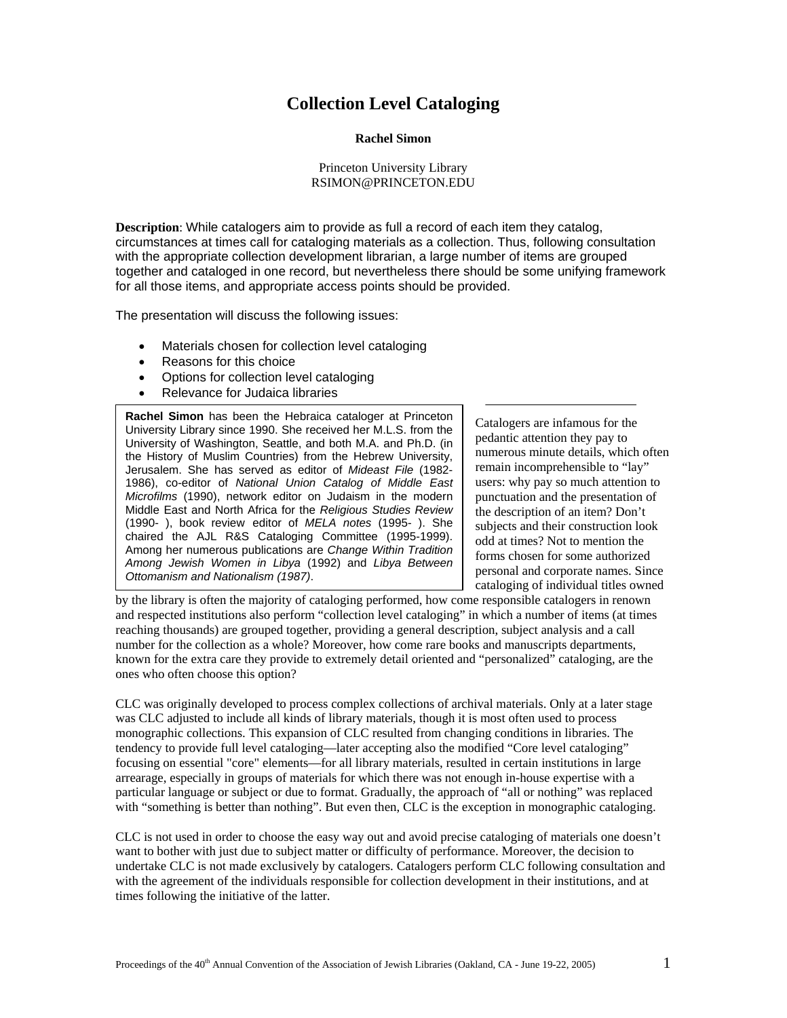# **Collection Level Cataloging**

## **Rachel Simon**

## Princeton University Library RSIMON@PRINCETON.EDU

**Description**: While catalogers aim to provide as full a record of each item they catalog, circumstances at times call for cataloging materials as a collection. Thus, following consultation with the appropriate collection development librarian, a large number of items are grouped together and cataloged in one record, but nevertheless there should be some unifying framework for all those items, and appropriate access points should be provided.

The presentation will discuss the following issues:

- Materials chosen for collection level cataloging
- Reasons for this choice
- Options for collection level cataloging
- Relevance for Judaica libraries

**Rachel Simon** has been the Hebraica cataloger at Princeton University Library since 1990. She received her M.L.S. from the University of Washington, Seattle, and both M.A. and Ph.D. (in the History of Muslim Countries) from the Hebrew University, Jerusalem. She has served as editor of *Mideast File* (1982- 1986), co-editor of *National Union Catalog of Middle East Microfilms* (1990), network editor on Judaism in the modern Middle East and North Africa for the *Religious Studies Review* (1990- ), book review editor of *MELA notes* (1995- ). She chaired the AJL R&S Cataloging Committee (1995-1999). Among her numerous publications are *Change Within Tradition Among Jewish Women in Libya* (1992) and *Libya Between Ottomanism and Nationalism (1987)*.

Catalogers are infamous for the pedantic attention they pay to numerous minute details, which often remain incomprehensible to "lay" users: why pay so much attention to punctuation and the presentation of the description of an item? Don't subjects and their construction look odd at times? Not to mention the forms chosen for some authorized personal and corporate names. Since cataloging of individual titles owned

by the library is often the majority of cataloging performed, how come responsible catalogers in renown and respected institutions also perform "collection level cataloging" in which a number of items (at times reaching thousands) are grouped together, providing a general description, subject analysis and a call number for the collection as a whole? Moreover, how come rare books and manuscripts departments, known for the extra care they provide to extremely detail oriented and "personalized" cataloging, are the ones who often choose this option?

CLC was originally developed to process complex collections of archival materials. Only at a later stage was CLC adjusted to include all kinds of library materials, though it is most often used to process monographic collections. This expansion of CLC resulted from changing conditions in libraries. The tendency to provide full level cataloging—later accepting also the modified "Core level cataloging" focusing on essential "core" elements—for all library materials, resulted in certain institutions in large arrearage, especially in groups of materials for which there was not enough in-house expertise with a particular language or subject or due to format. Gradually, the approach of "all or nothing" was replaced with "something is better than nothing". But even then, CLC is the exception in monographic cataloging.

CLC is not used in order to choose the easy way out and avoid precise cataloging of materials one doesn't want to bother with just due to subject matter or difficulty of performance. Moreover, the decision to undertake CLC is not made exclusively by catalogers. Catalogers perform CLC following consultation and with the agreement of the individuals responsible for collection development in their institutions, and at times following the initiative of the latter.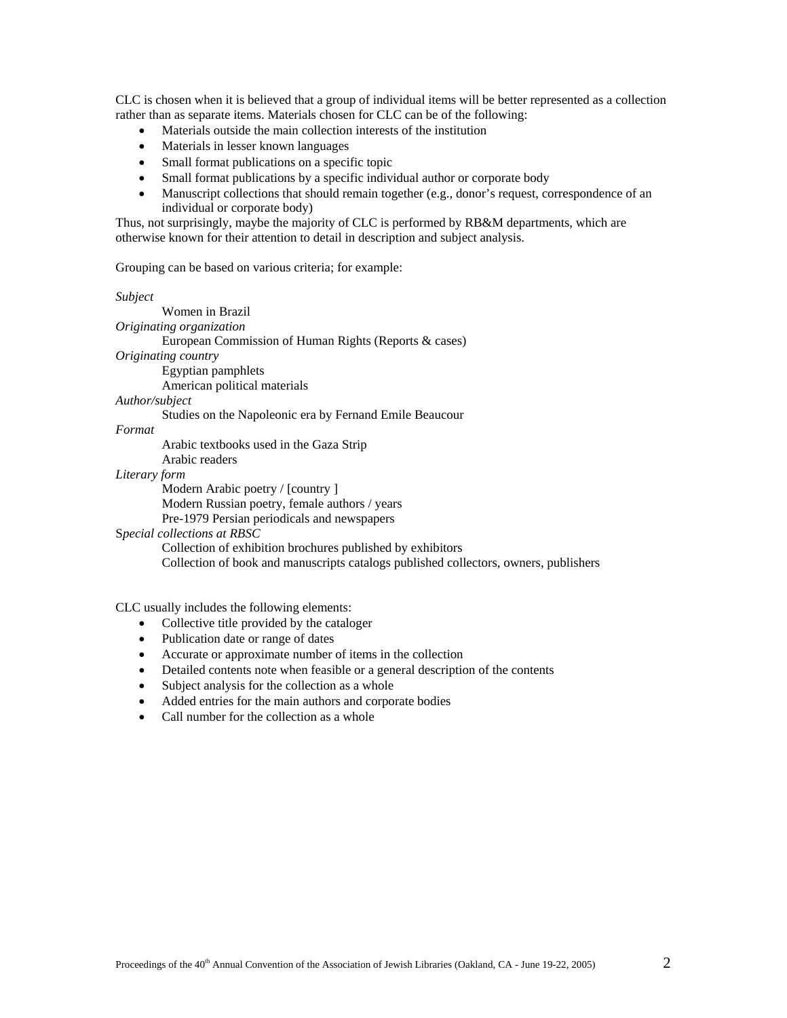CLC is chosen when it is believed that a group of individual items will be better represented as a collection rather than as separate items. Materials chosen for CLC can be of the following:

- Materials outside the main collection interests of the institution
- Materials in lesser known languages
- Small format publications on a specific topic
- Small format publications by a specific individual author or corporate body
- Manuscript collections that should remain together (e.g., donor's request, correspondence of an individual or corporate body)

Thus, not surprisingly, maybe the majority of CLC is performed by RB&M departments, which are otherwise known for their attention to detail in description and subject analysis.

Grouping can be based on various criteria; for example:

*Subject*

Women in Brazil *Originating organization* European Commission of Human Rights (Reports & cases) *Originating country*  Egyptian pamphlets American political materials *Author/subject* Studies on the Napoleonic era by Fernand Emile Beaucour *Format* 

Arabic textbooks used in the Gaza Strip

Arabic readers

*Literary form* 

Modern Arabic poetry / [country ] Modern Russian poetry, female authors / years Pre-1979 Persian periodicals and newspapers

## S*pecial collections at RBSC*

Collection of exhibition brochures published by exhibitors Collection of book and manuscripts catalogs published collectors, owners, publishers

CLC usually includes the following elements:

- Collective title provided by the cataloger
- Publication date or range of dates
- Accurate or approximate number of items in the collection
- Detailed contents note when feasible or a general description of the contents
- Subject analysis for the collection as a whole
- Added entries for the main authors and corporate bodies
- Call number for the collection as a whole